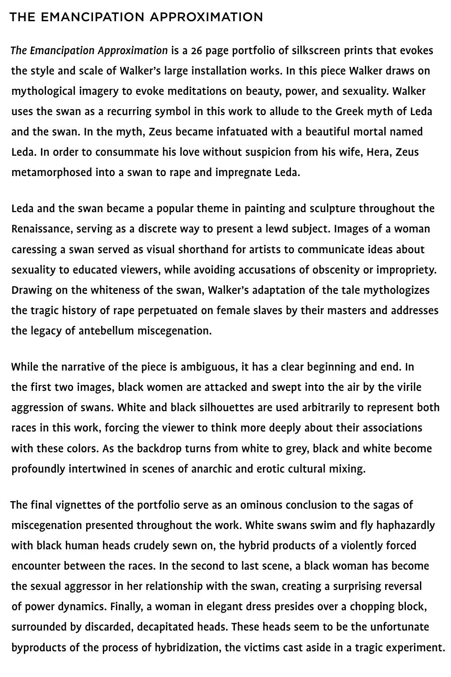## The Emancipation Approximation

- *The Emancipation Approximation* is a 26 page portfolio of silkscreen prints that evokes the style and scale of Walker's large installation works. In this piece Walker draws on mythological imagery to evoke meditations on beauty, power, and sexuality. Walker uses the swan as a recurring symbol in this work to allude to the Greek myth of Leda and the swan. In the myth, Zeus became infatuated with a beautiful mortal named Leda. In order to consummate his love without suspicion from his wife, Hera, Zeus
	-

### metamorphosed into a swan to rape and impregnate Leda.

Leda and the swan became a popular theme in painting and sculpture throughout the

Renaissance, serving as a discrete way to present a lewd subject. Images of a woman

caressing a swan served as visual shorthand for artists to communicate ideas about

sexuality to educated viewers, while avoiding accusations of obscenity or impropriety.

Drawing on the whiteness of the swan, Walker's adaptation of the tale mythologizes

the tragic history of rape perpetuated on female slaves by their masters and addresses

the legacy of antebellum miscegenation.

While the narrative of the piece is ambiguous, it has a clear beginning and end. In the first two images, black women are attacked and swept into the air by the virile aggression of swans. White and black silhouettes are used arbitrarily to represent both races in this work, forcing the viewer to think more deeply about their associations with these colors. As the backdrop turns from white to grey, black and white become profoundly intertwined in scenes of anarchic and erotic cultural mixing.

The final vignettes of the portfolio serve as an ominous conclusion to the sagas of

miscegenation presented throughout the work. White swans swim and fly haphazardly

with black human heads crudely sewn on, the hybrid products of a violently forced

encounter between the races. In the second to last scene, a black woman has become

the sexual aggressor in her relationship with the swan, creating a surprising reversal

of power dynamics. Finally, a woman in elegant dress presides over a chopping block,

surrounded by discarded, decapitated heads. These heads seem to be the unfortunate

byproducts of the process of hybridization, the victims cast aside in a tragic experiment.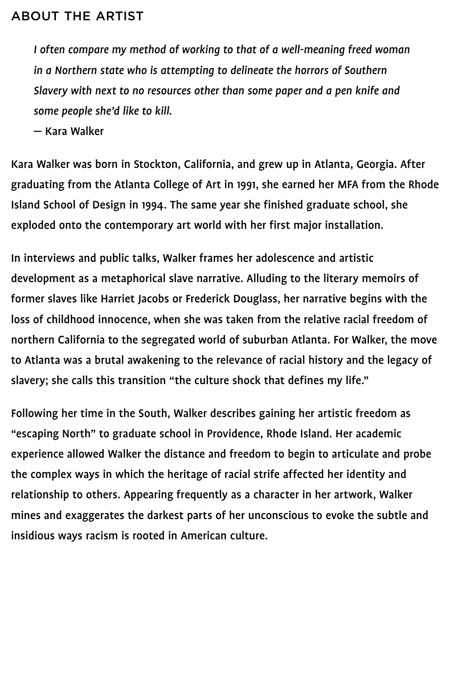*I* often compare my method of working to that of a well-meaning freed woman

in a Northern state who is attempting to delineate the horrors of Southern

*Slavery with next to no resources other than some paper and a pen knife and some people she'd like to kill.*

— Kara Walker

Kara Walker was born in Stockton, California, and grew up in Atlanta, Georgia. After

graduating from the Atlanta College of Art in 1991, she earned her MFA from the Rhode

Island School of Design in 1994. The same year she finished graduate school, she

exploded onto the contemporary art world with her first major installation.

In interviews and public talks, Walker frames her adolescence and artistic

development as a metaphorical slave narrative. Alluding to the literary memoirs of

former slaves like Harriet Jacobs or Frederick Douglass, her narrative begins with the

loss of childhood innocence, when she was taken from the relative racial freedom of

northern California to the segregated world of suburban Atlanta. For Walker, the move to Atlanta was a brutal awakening to the relevance of racial history and the legacy of slavery; she calls this transition "the culture shock that defines my life."

Following her time in the South, Walker describes gaining her artistic freedom as

"escaping North" to graduate school in Providence, Rhode Island. Her academic

experience allowed Walker the distance and freedom to begin to articulate and probe

the complex ways in which the heritage of racial strife affected her identity and

relationship to others. Appearing frequently as a character in her artwork, Walker

mines and exaggerates the darkest parts of her unconscious to evoke the subtle and

insidious ways racism is rooted in American culture.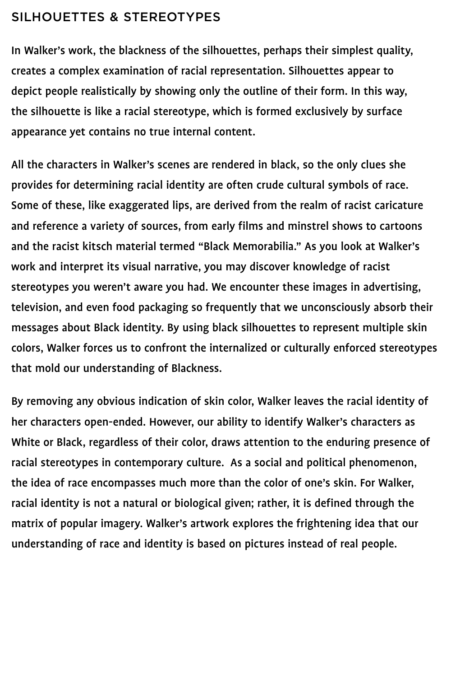## SILHOUETTES & STEREOTYPES

In Walker's work, the blackness of the silhouettes, perhaps their simplest quality,

creates a complex examination of racial representation. Silhouettes appear to

depict people realistically by showing only the outline of their form. In this way,

the silhouette is like a racial stereotype, which is formed exclusively by surface

appearance yet contains no true internal content.

All the characters in Walker's scenes are rendered in black, so the only clues she

provides for determining racial identity are often crude cultural symbols of race.

Some of these, like exaggerated lips, are derived from the realm of racist caricature

and reference a variety of sources, from early films and minstrel shows to cartoons and the racist kitsch material termed "Black Memorabilia." As you look at Walker's work and interpret its visual narrative, you may discover knowledge of racist stereotypes you weren't aware you had. We encounter these images in advertising,

television, and even food packaging so frequently that we unconsciously absorb their

messages about Black identity. By using black silhouettes to represent multiple skin

colors, Walker forces us to confront the internalized or culturally enforced stereotypes

that mold our understanding of Blackness.

By removing any obvious indication of skin color, Walker leaves the racial identity of her characters open-ended. However, our ability to identify Walker's characters as White or Black, regardless of their color, draws attention to the enduring presence of racial stereotypes in contemporary culture. As a social and political phenomenon, the idea of race encompasses much more than the color of one's skin. For Walker, racial identity is not a natural or biological given; rather, it is defined through the

matrix of popular imagery. Walker's artwork explores the frightening idea that our

understanding of race and identity is based on pictures instead of real people.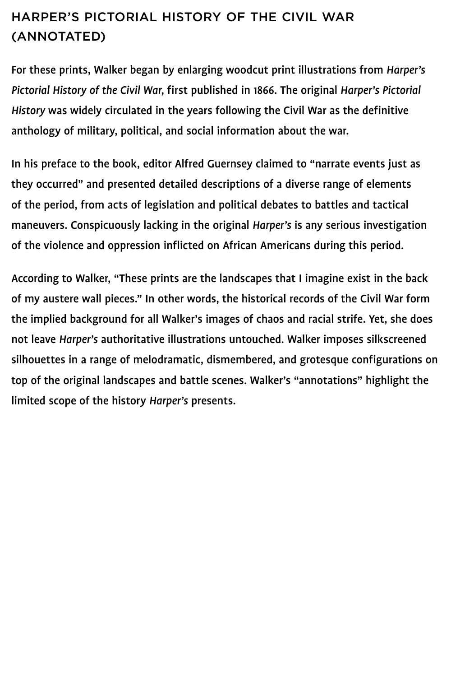# Harper's Pictorial History of the Civil War (ANNOTATED)

For these prints, Walker began by enlarging woodcut print illustrations from *Harper's Pictorial History of the Civil War*, first published in 1866. The original *Harper's Pictorial History* was widely circulated in the years following the Civil War as the definitive anthology of military, political, and social information about the war.

In his preface to the book, editor Alfred Guernsey claimed to "narrate events just as

they occurred" and presented detailed descriptions of a diverse range of elements of the period, from acts of legislation and political debates to battles and tactical maneuvers. Conspicuously lacking in the original *Harper's* is any serious investigation of the violence and oppression inflicted on African Americans during this period.

According to Walker, "These prints are the landscapes that I imagine exist in the back of my austere wall pieces." In other words, the historical records of the Civil War form the implied background for all Walker's images of chaos and racial strife. Yet, she does

not leave *Harper's* authoritative illustrations untouched. Walker imposes silkscreened

silhouettes in a range of melodramatic, dismembered, and grotesque configurations on

top of the original landscapes and battle scenes. Walker's "annotations" highlight the

limited scope of the history *Harper's* presents.